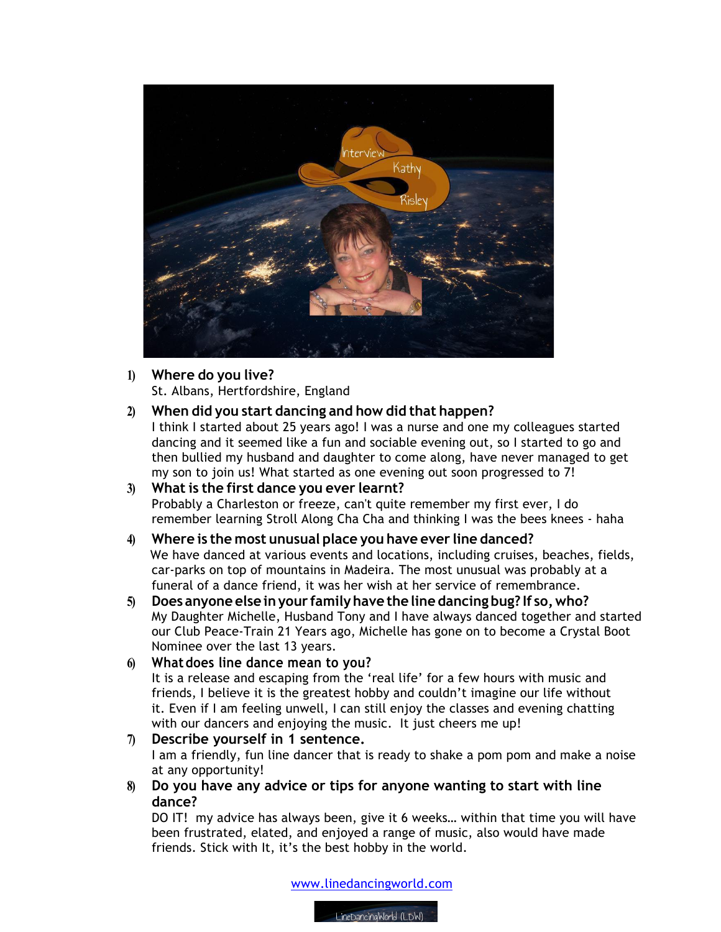

### **1) Where do you live?** St. Albans, Hertfordshire, England

## **2) When did you start dancing and how did that happen?**

I think I started about 25 years ago! I was a nurse and one my colleagues started dancing and it seemed like a fun and sociable evening out, so I started to go and then bullied my husband and daughter to come along, have never managed to get my son to join us! What started as one evening out soon progressed to 7!

#### **3) What is the first dance you ever learnt?** Probably a Charleston or freeze, can't quite remember my first ever, I do remember learning Stroll Along Cha Cha and thinking I was the bees knees - haha

# **4) Where is the most unusual place you have ever line danced?**

 We have danced at various events and locations, including cruises, beaches, fields, car-parks on top of mountains in Madeira. The most unusual was probably at a funeral of a dance friend, it was her wish at her service of remembrance.

**5) Does anyone else inyour familyhave the line dancing bug? If so,who?** My Daughter Michelle, Husband Tony and I have always danced together and started our Club Peace-Train 21 Years ago, Michelle has gone on to become a Crystal Boot Nominee over the last 13 years.

#### **6) Whatdoes line dance mean to you?** It is a release and escaping from the 'real life' for a few hours with music and friends, I believe it is the greatest hobby and couldn't imagine our life without it. Even if I am feeling unwell, I can still enjoy the classes and evening chatting with our dancers and enjoying the music. It just cheers me up!

## **7) Describe yourself in 1 sentence.**

I am a friendly, fun line dancer that is ready to shake a pom pom and make a noise at any opportunity!

### **8) Do you have any advice or tips for anyone wanting to start with line dance?**

DO IT! my advice has always been, give it 6 weeks… within that time you will have been frustrated, elated, and enjoyed a range of music, also would have made friends. Stick with It, it's the best hobby in the world.

www.linedancingworld.com

LineDancingWorld (LDW)